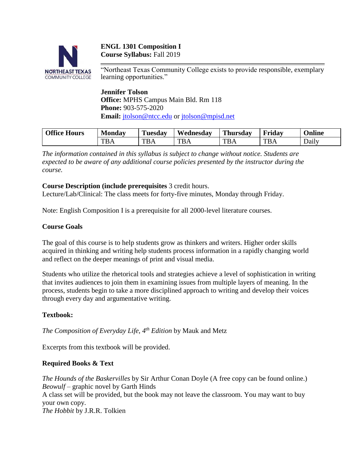

# **ENGL 1301 Composition I Course Syllabus:** Fall 2019

"Northeast Texas Community College exists to provide responsible, exemplary learning opportunities."

**Jennifer Tolson Office:** MPHS Campus Main Bld. Rm 118 **Phone:** 903-575-2020 **Email:** [jtolson@ntcc.edu](mailto:jtolson@ntcc.edu) or [jtolson@mpisd.net](mailto:jtolson@mpisd.net)

| Office.<br><b>TT</b><br>Hours | <b>Monday</b>   | m<br><b>uesdav</b>   | Wednesdav | <b>Thursday</b> | $\mathbf{r}$<br>Fridav | --<br>Jnline          |
|-------------------------------|-----------------|----------------------|-----------|-----------------|------------------------|-----------------------|
|                               | <b>TD</b><br>DA | $\blacksquare$<br>BА | тp<br>DA  | <b>TBA</b>      | TR<br>1 D A            | $\cdot$ .<br>$D$ ailv |

*The information contained in this syllabus is subject to change without notice. Students are expected to be aware of any additional course policies presented by the instructor during the course.*

### **Course Description (include prerequisites** 3 credit hours.

Lecture/Lab/Clinical: The class meets for forty-five minutes, Monday through Friday.

Note: English Composition I is a prerequisite for all 2000-level literature courses.

### **Course Goals**

The goal of this course is to help students grow as thinkers and writers. Higher order skills acquired in thinking and writing help students process information in a rapidly changing world and reflect on the deeper meanings of print and visual media.

Students who utilize the rhetorical tools and strategies achieve a level of sophistication in writing that invites audiences to join them in examining issues from multiple layers of meaning. In the process, students begin to take a more disciplined approach to writing and develop their voices through every day and argumentative writing.

## **Textbook:**

*The Composition of Everyday Life, 4th Edition* by Mauk and Metz

Excerpts from this textbook will be provided.

#### **Required Books & Text**

*The Hounds of the Baskervilles* by Sir Arthur Conan Doyle (A free copy can be found online.) *Beowulf* – graphic novel by Garth Hinds A class set will be provided, but the book may not leave the classroom. You may want to buy your own copy. *The Hobbit* by J.R.R. Tolkien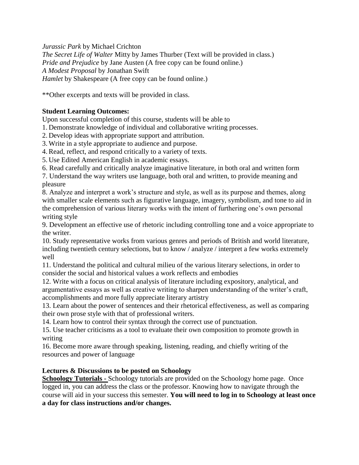*Jurassic Park* by Michael Crichton

*The Secret Life of Walter* Mitty by James Thurber (Text will be provided in class.) *Pride and Prejudice* by Jane Austen (A free copy can be found online.) *A Modest Proposal* by Jonathan Swift *Hamlet* by Shakespeare (A free copy can be found online.)

\*\*Other excerpts and texts will be provided in class.

## **Student Learning Outcomes:**

Upon successful completion of this course, students will be able to

1. Demonstrate knowledge of individual and collaborative writing processes.

2. Develop ideas with appropriate support and attribution.

3. Write in a style appropriate to audience and purpose.

4. Read, reflect, and respond critically to a variety of texts.

5. Use Edited American English in academic essays.

6. Read carefully and critically analyze imaginative literature, in both oral and written form

7. Understand the way writers use language, both oral and written, to provide meaning and pleasure

8. Analyze and interpret a work's structure and style, as well as its purpose and themes, along with smaller scale elements such as figurative language, imagery, symbolism, and tone to aid in the comprehension of various literary works with the intent of furthering one's own personal writing style

9. Development an effective use of rhetoric including controlling tone and a voice appropriate to the writer.

10. Study representative works from various genres and periods of British and world literature, including twentieth century selections, but to know / analyze / interpret a few works extremely well

11. Understand the political and cultural milieu of the various literary selections, in order to consider the social and historical values a work reflects and embodies

12. Write with a focus on critical analysis of literature including expository, analytical, and argumentative essays as well as creative writing to sharpen understanding of the writer's craft, accomplishments and more fully appreciate literary artistry

13. Learn about the power of sentences and their rhetorical effectiveness, as well as comparing their own prose style with that of professional writers.

14. Learn how to control their syntax through the correct use of punctuation.

15. Use teacher criticisms as a tool to evaluate their own composition to promote growth in writing

16. Become more aware through speaking, listening, reading, and chiefly writing of the resources and power of language

## **Lectures & Discussions to be posted on Schoology**

**Schoology Tutorials -** Schoology tutorials are provided on the Schoology home page. Once logged in, you can address the class or the professor. Knowing how to navigate through the course will aid in your success this semester. **You will need to log in to Schoology at least once a day for class instructions and/or changes.**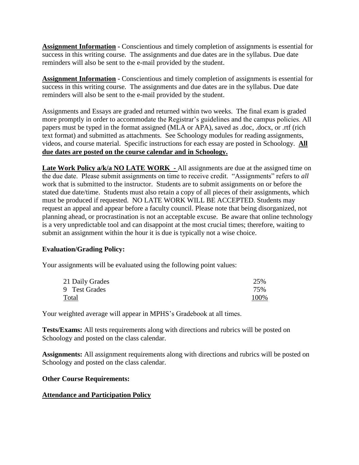**Assignment Information -** Conscientious and timely completion of assignments is essential for success in this writing course. The assignments and due dates are in the syllabus. Due date reminders will also be sent to the e-mail provided by the student.

**Assignment Information -** Conscientious and timely completion of assignments is essential for success in this writing course. The assignments and due dates are in the syllabus. Due date reminders will also be sent to the e-mail provided by the student.

Assignments and Essays are graded and returned within two weeks. The final exam is graded more promptly in order to accommodate the Registrar's guidelines and the campus policies. All papers must be typed in the format assigned (MLA or APA), saved as .doc, .docx, or .rtf (rich text format) and submitted as attachments. See Schoology modules for reading assignments, videos, and course material. Specific instructions for each essay are posted in Schoology. **All due dates are posted on the course calendar and in Schoology.** 

Late Work Policy a/k/a NO LATE WORK - All assignments are due at the assigned time on the due date. Please submit assignments on time to receive credit. "Assignments" refers to *all* work that is submitted to the instructor. Students are to submit assignments on or before the stated due date/time. Students must also retain a copy of all pieces of their assignments, which must be produced if requested. NO LATE WORK WILL BE ACCEPTED. Students may request an appeal and appear before a faculty council. Please note that being disorganized, not planning ahead, or procrastination is not an acceptable excuse. Be aware that online technology is a very unpredictable tool and can disappoint at the most crucial times; therefore, waiting to submit an assignment within the hour it is due is typically not a wise choice.

## **Evaluation/Grading Policy:**

Your assignments will be evaluated using the following point values:

| 21 Daily Grades | 25%  |
|-----------------|------|
| 9 Test Grades   | 75%  |
| <b>Total</b>    | 100% |

Your weighted average will appear in MPHS's Gradebook at all times.

**Tests/Exams:** All tests requirements along with directions and rubrics will be posted on Schoology and posted on the class calendar.

**Assignments:** All assignment requirements along with directions and rubrics will be posted on Schoology and posted on the class calendar.

#### **Other Course Requirements:**

## **Attendance and Participation Policy**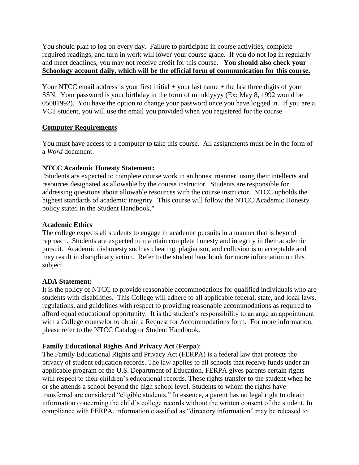You should plan to log on every day. Failure to participate in course activities, complete required readings, and turn in work will lower your course grade. If you do not log in regularly and meet deadlines, you may not receive credit for this course. **You should also check your Schoology account daily, which will be the official form of communication for this course.**

Your NTCC email address is your first initial + your last name + the last three digits of your SSN. Your password is your birthday in the form of mmddyyyy (Ex: May 8, 1992 would be 05081992). You have the option to change your password once you have logged in. If you are a VCT student, you will use the email you provided when you registered for the course.

### **Computer Requirements**

You must have access to a computer to take this course. All assignments must be in the form of a *Word* document.

### **NTCC Academic Honesty Statement:**

"Students are expected to complete course work in an honest manner, using their intellects and resources designated as allowable by the course instructor. Students are responsible for addressing questions about allowable resources with the course instructor. NTCC upholds the highest standards of academic integrity. This course will follow the NTCC Academic Honesty policy stated in the Student Handbook."

#### **Academic Ethics**

The college expects all students to engage in academic pursuits in a manner that is beyond reproach. Students are expected to maintain complete honesty and integrity in their academic pursuit. Academic dishonesty such as cheating, plagiarism, and collusion is unacceptable and may result in disciplinary action. Refer to the student handbook for more information on this subject.

## **ADA Statement:**

It is the policy of NTCC to provide reasonable accommodations for qualified individuals who are students with disabilities. This College will adhere to all applicable federal, state, and local laws, regulations, and guidelines with respect to providing reasonable accommodations as required to afford equal educational opportunity. It is the student's responsibility to arrange an appointment with a College counselor to obtain a Request for Accommodations form. For more information, please refer to the NTCC Catalog or Student Handbook.

## **Family Educational Rights And Privacy Act** (**Ferpa**):

The Family Educational Rights and Privacy Act (FERPA) is a federal law that protects the privacy of student education records. The law applies to all schools that receive funds under an applicable program of the U.S. Department of Education. FERPA gives parents certain rights with respect to their children's educational records. These rights transfer to the student when he or she attends a school beyond the high school level. Students to whom the rights have transferred are considered "eligible students." In essence, a parent has no legal right to obtain information concerning the child's college records without the written consent of the student. In compliance with FERPA, information classified as "directory information" may be released to